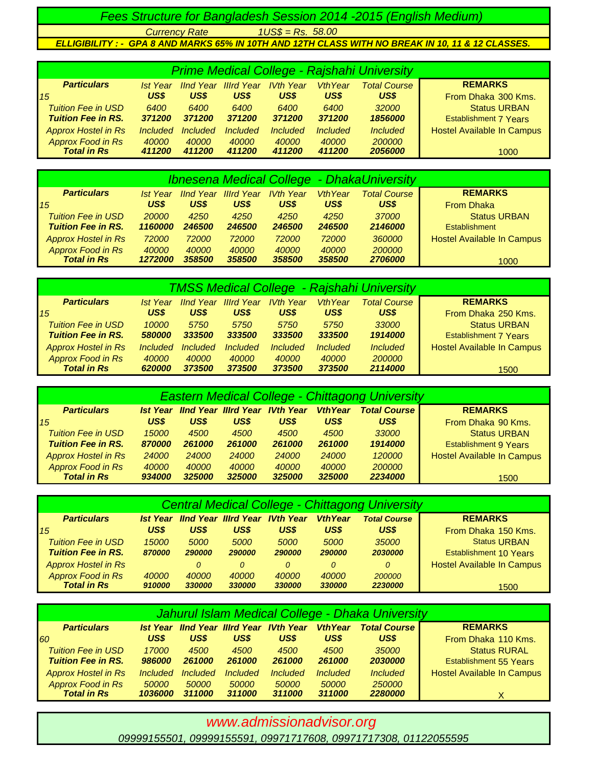## *Fees Structure for Bangladesh Session 2014 -2015 (English Medium)*

*58.00 Currency Rate 1US\$ = Rs.*

*ELLIGIBILITY : - GPA 8 AND MARKS 65% IN 10TH AND 12TH CLASS WITH NO BREAK IN 10, 11 & 12 CLASSES.*

| Prime Medical College - Rajshahi University                                                                                                            |                               |                 |                        |                               |                               |                 |                                   |  |  |  |  |
|--------------------------------------------------------------------------------------------------------------------------------------------------------|-------------------------------|-----------------|------------------------|-------------------------------|-------------------------------|-----------------|-----------------------------------|--|--|--|--|
| <b>REMARKS</b><br><b>Particulars</b><br><b>VthYear</b><br><b>Illrd Year</b><br><b>IVth Year</b><br>Total Course<br><b>IInd Year</b><br><i>Ist</i> Year |                               |                 |                        |                               |                               |                 |                                   |  |  |  |  |
| 15                                                                                                                                                     | US\$                          | US\$            | US\$                   | US\$                          | US\$                          | US\$            | From Dhaka 300 Kms.               |  |  |  |  |
| <b>Tuition Fee in USD</b>                                                                                                                              | 6400                          | 6400            | 6400                   | 6400                          | 6400                          | 32000           | <b>Status URBAN</b>               |  |  |  |  |
| <b>Tuition Fee in RS.</b>                                                                                                                              | 371200                        | 371200          | 371200                 | 371200                        | 371200                        | 1856000         | <b>Establishment 7 Years</b>      |  |  |  |  |
| <b>Approx Hostel in Rs</b>                                                                                                                             | <i><u><b>Included</b></u></i> | <i>Included</i> | <i><b>Included</b></i> | <i><u><b>Included</b></u></i> | <i><u><b>Included</b></u></i> | <b>Included</b> | <b>Hostel Available In Campus</b> |  |  |  |  |
| <b>Approx Food in Rs</b>                                                                                                                               | 40000                         | 40000           | 40000                  | 40000                         | 40000                         | 200000          |                                   |  |  |  |  |
| <b>Total in Rs</b>                                                                                                                                     | 411200                        | 411200          | 411200                 | 411200                        | 411200                        | 2056000         | 1000                              |  |  |  |  |

|                            |                 |                  |                   |                  |                | <b>Ibnesena Medical College - DhakaUniversity</b> |                            |
|----------------------------|-----------------|------------------|-------------------|------------------|----------------|---------------------------------------------------|----------------------------|
| <b>Particulars</b>         | <b>Ist Year</b> | <b>IInd Year</b> | <b>Illrd Year</b> | <b>IVth Year</b> | <b>VthYear</b> | Total Course                                      | <b>REMARKS</b>             |
| 15                         | US\$            | US\$             | US\$              | US\$             | US\$           | US\$                                              | <b>From Dhaka</b>          |
| <b>Tuition Fee in USD</b>  | 20000           | 4250             | 4250              | 4250             | 4250           | 37000                                             | <b>Status URBAN</b>        |
| <b>Tuition Fee in RS.</b>  | 1160000         | 246500           | 246500            | 246500           | 246500         | 2146000                                           | <b>Establishment</b>       |
| <b>Approx Hostel in Rs</b> | 72000           | 72000            | 72000             | 72000            | 72000          | 360000                                            | Hostel Available In Campus |
| <b>Approx Food in Rs</b>   | 40000           | 40000            | 40000             | 40000            | 40000          | 200000                                            |                            |
| <b>Total in Rs</b>         | 1272000         | 358500           | 358500            | 358500           | 358500         | 2706000                                           | 1000                       |

| <b>TMSS Medical College - Rajshahi University</b>                                                                                                             |                               |          |                               |                               |          |                 |                                   |  |  |  |
|---------------------------------------------------------------------------------------------------------------------------------------------------------------|-------------------------------|----------|-------------------------------|-------------------------------|----------|-----------------|-----------------------------------|--|--|--|
| <b>REMARKS</b><br><b>Particulars</b><br><b>Total Course</b><br><b>VthYear</b><br><b>Illrd Year</b><br><b>IVth Year</b><br><b>IInd Year</b><br><i>Ist</i> Year |                               |          |                               |                               |          |                 |                                   |  |  |  |
| 15                                                                                                                                                            | US\$                          | US\$     | US\$                          | US\$                          | US\$     | US\$            | From Dhaka 250 Kms.               |  |  |  |
| <b>Tuition Fee in USD</b>                                                                                                                                     | 10000                         | 5750     | 5750                          | 5750                          | 5750     | 33000           | <b>Status URBAN</b>               |  |  |  |
| <b>Tuition Fee in RS.</b>                                                                                                                                     | 580000                        | 333500   | 333500                        | 333500                        | 333500   | 1914000         | <b>Establishment 7 Years</b>      |  |  |  |
| <b>Approx Hostel in Rs</b>                                                                                                                                    | <i><u><b>Included</b></u></i> | Included | <i><u><b>Included</b></u></i> | <i><u><b>Included</b></u></i> | Included | <b>Included</b> | <b>Hostel Available In Campus</b> |  |  |  |
| <b>Approx Food in Rs</b>                                                                                                                                      | 40000                         | 40000    | 40000                         | 40000                         | 40000    | 200000          |                                   |  |  |  |
| <b>Total in Rs</b>                                                                                                                                            | 620000                        | 373500   | 373500                        | 373500                        | 373500   | 2114000         | 1500                              |  |  |  |

| <b>Eastern Medical College - Chittagong University</b>                                                                           |        |        |        |        |        |         |                                   |  |  |  |
|----------------------------------------------------------------------------------------------------------------------------------|--------|--------|--------|--------|--------|---------|-----------------------------------|--|--|--|
| <b>REMARKS</b><br><b>Ist Year IInd Year IIIrd Year IVth Year</b><br><b>Vth Year</b><br><b>Particulars</b><br><b>Total Course</b> |        |        |        |        |        |         |                                   |  |  |  |
| 15                                                                                                                               | US\$   | US\$   | US\$   | US\$   | US\$   | US\$    | From Dhaka 90 Kms.                |  |  |  |
| <b>Tuition Fee in USD</b>                                                                                                        | 15000  | 4500   | 4500   | 4500   | 4500   | 33000   | <b>Status URBAN</b>               |  |  |  |
| <b>Tuition Fee in RS.</b>                                                                                                        | 870000 | 261000 | 261000 | 261000 | 261000 | 1914000 | <b>Establishment 9 Years</b>      |  |  |  |
| <b>Approx Hostel in Rs</b>                                                                                                       | 24000  | 24000  | 24000  | 24000  | 24000  | 120000  | <b>Hostel Available In Campus</b> |  |  |  |
| <b>Approx Food in Rs</b>                                                                                                         | 40000  | 40000  | 40000  | 40000  | 40000  | 200000  |                                   |  |  |  |
| <b>Total in Rs</b>                                                                                                               | 934000 | 325000 | 325000 | 325000 | 325000 | 2234000 | 1500                              |  |  |  |

| Central Medical College - Chittagong University                                                                                  |        |        |        |          |        |         |                                   |  |  |  |  |
|----------------------------------------------------------------------------------------------------------------------------------|--------|--------|--------|----------|--------|---------|-----------------------------------|--|--|--|--|
| <b>REMARKS</b><br><b>Ist Year IInd Year IIIrd Year IVth Year</b><br><b>Particulars</b><br><b>Vth Year</b><br><b>Total Course</b> |        |        |        |          |        |         |                                   |  |  |  |  |
| 15                                                                                                                               | US\$   | US\$   | US\$   | US\$     | US\$   | US\$    | From Dhaka 150 Kms.               |  |  |  |  |
| <b>Tuition Fee in USD</b>                                                                                                        | 15000  | 5000   | 5000   | 5000     | 5000   | 35000   | <b>Status URBAN</b>               |  |  |  |  |
| <b>Tuition Fee in RS.</b>                                                                                                        | 870000 | 290000 | 290000 | 290000   | 290000 | 2030000 | <b>Establishment 10 Years</b>     |  |  |  |  |
| <b>Approx Hostel in Rs</b>                                                                                                       |        | 0      | 0      | $\Omega$ | 0      | 0       | <b>Hostel Available In Campus</b> |  |  |  |  |
| <b>Approx Food in Rs</b>                                                                                                         | 40000  | 40000  | 40000  | 40000    | 40000  | 200000  |                                   |  |  |  |  |
| <b>Total in Rs</b>                                                                                                               | 910000 | 330000 | 330000 | 330000   | 330000 | 2230000 | 1500                              |  |  |  |  |

| Jahurul Islam Medical College - Dhaka University |                               |                 |                               |                                                |                               |                     |                                   |  |  |  |  |
|--------------------------------------------------|-------------------------------|-----------------|-------------------------------|------------------------------------------------|-------------------------------|---------------------|-----------------------------------|--|--|--|--|
| <b>Particulars</b>                               |                               |                 |                               | <b>Ist Year IInd Year IIIrd Year IVth Year</b> | <b>VthYear</b>                | <b>Total Course</b> | <b>REMARKS</b>                    |  |  |  |  |
| 60                                               | US\$                          | US\$            | US\$                          | US\$                                           | US\$                          | US\$                | From Dhaka 110 Kms.               |  |  |  |  |
| <b>Tuition Fee in USD</b>                        | 17000                         | 4500            | 4500                          | 4500                                           | 4500                          | 35000               | <b>Status RURAL</b>               |  |  |  |  |
| <b>Tuition Fee in RS.</b>                        | 986000                        | 261000          | 261000                        | 261000                                         | 261000                        | 2030000             | <b>Establishment 55 Years</b>     |  |  |  |  |
| <b>Approx Hostel in Rs</b>                       | <i><u><b>Included</b></u></i> | <i>Included</i> | <i><u><b>Included</b></u></i> | <i><u><b>Included</b></u></i>                  | <i><u><b>Included</b></u></i> | <b>Included</b>     | <b>Hostel Available In Campus</b> |  |  |  |  |
| <b>Approx Food in Rs</b>                         | 50000                         | 50000           | 50000                         | 50000                                          | 50000                         | 250000              |                                   |  |  |  |  |
| <b>Total in Rs</b>                               | 1036000                       | 311000          | 311000                        | 311000                                         | 311000                        | 2280000             |                                   |  |  |  |  |

*www.admissionadvisor.org 09999155501, 09999155591, 09971717608, 09971717308, 01122055595*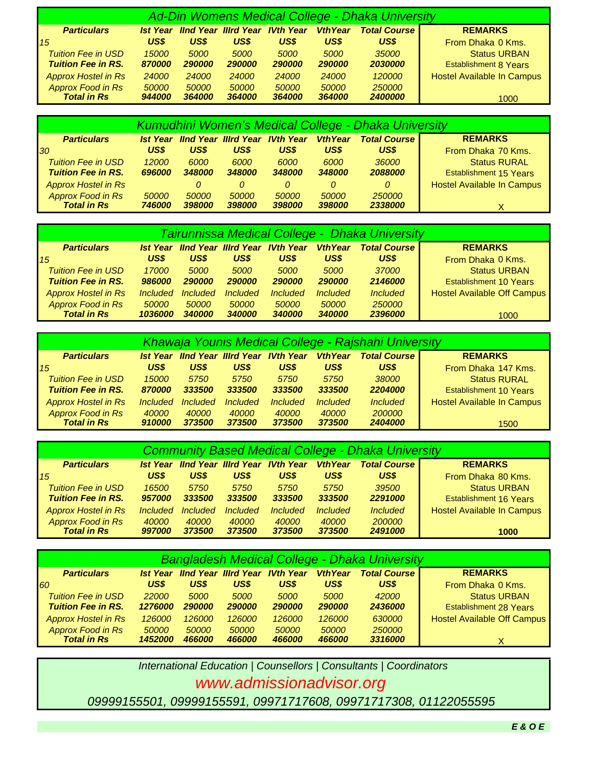| Ad-Din Womens Medical College - Dhaka University                                                                                 |        |        |        |        |        |         |                              |  |  |  |
|----------------------------------------------------------------------------------------------------------------------------------|--------|--------|--------|--------|--------|---------|------------------------------|--|--|--|
| <b>REMARKS</b><br><b>Ist Year IInd Year IIIrd Year IVth Year</b><br><b>Vth Year</b><br><b>Total Course</b><br><b>Particulars</b> |        |        |        |        |        |         |                              |  |  |  |
| 15                                                                                                                               | US\$   | US\$   | US\$   | US\$   | US\$   | US\$    | From Dhaka 0 Kms.            |  |  |  |
| <b>Tuition Fee in USD</b>                                                                                                        | 15000  | 5000   | 5000   | 5000   | 5000   | 35000   | <b>Status URBAN</b>          |  |  |  |
| <b>Tuition Fee in RS.</b>                                                                                                        | 870000 | 290000 | 290000 | 290000 | 290000 | 2030000 | <b>Establishment 8 Years</b> |  |  |  |
| <b>Approx Hostel in Rs</b>                                                                                                       | 24000  | 24000  | 24000  | 24000  | 24000  | 120000  | Hostel Available In Campus   |  |  |  |
| <b>Approx Food in Rs</b>                                                                                                         | 50000  | 50000  | 50000  | 50000  | 50000  | 250000  |                              |  |  |  |
| <b>Total in Rs</b>                                                                                                               | 944000 | 364000 | 364000 | 364000 | 364000 | 2400000 | 1000                         |  |  |  |

| Kumudhini Women's Medical College - Dhaka University                                                                            |        |        |        |        |        |         |                               |  |  |
|---------------------------------------------------------------------------------------------------------------------------------|--------|--------|--------|--------|--------|---------|-------------------------------|--|--|
| <b>REMARKS</b><br><b>Particulars</b><br><b>Ist Year IInd Year IIIrd Year IVth Year</b><br><b>VthYear</b><br><b>Total Course</b> |        |        |        |        |        |         |                               |  |  |
| 30                                                                                                                              | US\$   | US\$   | US\$   | US\$   | US\$   | US\$    | From Dhaka 70 Kms.            |  |  |
| <b>Tuition Fee in USD</b>                                                                                                       | 12000  | 6000   | 6000   | 6000   | 6000   | 36000   | <b>Status RURAL</b>           |  |  |
| <b>Tuition Fee in RS.</b>                                                                                                       | 696000 | 348000 | 348000 | 348000 | 348000 | 2088000 | <b>Establishment 15 Years</b> |  |  |
| <b>Approx Hostel in Rs</b>                                                                                                      |        | 0      | 0      |        | 0      | 0       | Hostel Available In Campus    |  |  |
| <b>Approx Food in Rs</b>                                                                                                        | 50000  | 50000  | 50000  | 50000  | 50000  | 250000  |                               |  |  |
| <b>Total in Rs</b>                                                                                                              | 746000 | 398000 | 398000 | 398000 | 398000 | 2338000 |                               |  |  |

| Tairunnissa Medical College - Dhaka University                                                                                  |                               |          |                               |                               |                               |                 |                                    |  |  |  |
|---------------------------------------------------------------------------------------------------------------------------------|-------------------------------|----------|-------------------------------|-------------------------------|-------------------------------|-----------------|------------------------------------|--|--|--|
| <b>Ist Year IInd Year IIIrd Year IVth Year</b><br><b>REMARKS</b><br><b>Particulars</b><br><b>VthYear</b><br><b>Total Course</b> |                               |          |                               |                               |                               |                 |                                    |  |  |  |
| 15                                                                                                                              | US\$                          | US\$     | US\$                          | US\$                          | US\$                          | US\$            | From Dhaka 0 Kms.                  |  |  |  |
| <b>Tuition Fee in USD</b>                                                                                                       | 17000                         | 5000     | 5000                          | 5000                          | 5000                          | 37000           | <b>Status URBAN</b>                |  |  |  |
| <b>Tuition Fee in RS.</b>                                                                                                       | 986000                        | 290000   | 290000                        | 290000                        | 290000                        | 2146000         | <b>Establishment 10 Years</b>      |  |  |  |
| <b>Approx Hostel in Rs</b>                                                                                                      | <i><u><b>Included</b></u></i> | Included | <i><u><b>Included</b></u></i> | <i><u><b>Included</b></u></i> | <i><u><b>Included</b></u></i> | <b>Included</b> | <b>Hostel Available Off Campus</b> |  |  |  |
| Approx Food in Rs                                                                                                               | 50000                         | 50000    | 50000                         | 50000                         | 50000                         | 250000          |                                    |  |  |  |
| <b>Total in Rs</b>                                                                                                              | 1036000                       | 340000   | 340000                        | 340000                        | 340000                        | 2396000         | 1000                               |  |  |  |

| Khawaja Younis Medical College - Rajshahi University                                                                            |                               |          |                               |                               |                 |                 |                               |  |  |  |
|---------------------------------------------------------------------------------------------------------------------------------|-------------------------------|----------|-------------------------------|-------------------------------|-----------------|-----------------|-------------------------------|--|--|--|
| <b>Ist Year IInd Year IIIrd Year IVth Year</b><br><b>Total Course</b><br><b>VthYear</b><br><b>Particulars</b><br><b>REMARKS</b> |                               |          |                               |                               |                 |                 |                               |  |  |  |
| 15                                                                                                                              | US\$                          | US\$     | US\$                          | US\$                          | US\$            | US\$            | From Dhaka 147 Kms.           |  |  |  |
| <b>Tuition Fee in USD</b>                                                                                                       | 15000                         | 5750     | 5750                          | 5750                          | 5750            | 38000           | <b>Status RURAL</b>           |  |  |  |
| <b>Tuition Fee in RS.</b>                                                                                                       | 870000                        | 333500   | 333500                        | 333500                        | 333500          | 2204000         | <b>Establishment 10 Years</b> |  |  |  |
| <b>Approx Hostel in Rs</b>                                                                                                      | <i><u><b>Included</b></u></i> | Included | <i><u><b>Included</b></u></i> | <i><u><b>Included</b></u></i> | <b>Included</b> | <b>Included</b> | Hostel Available In Campus    |  |  |  |
| <b>Approx Food in Rs</b>                                                                                                        | 40000                         | 40000    | 40000                         | 40000                         | 40000           | 200000          |                               |  |  |  |
| <b>Total in Rs</b>                                                                                                              | 910000                        | 373500   | 373500                        | 373500                        | 373500          | 2404000         | 1500                          |  |  |  |

| <b>Community Based Medical College - Dhaka University</b>                                                                       |                               |                 |                               |                               |                 |                 |                               |  |  |  |
|---------------------------------------------------------------------------------------------------------------------------------|-------------------------------|-----------------|-------------------------------|-------------------------------|-----------------|-----------------|-------------------------------|--|--|--|
| <b>Ist Year IInd Year IIIrd Year IVth Year</b><br><b>VthYear</b><br><b>REMARKS</b><br><b>Total Course</b><br><b>Particulars</b> |                               |                 |                               |                               |                 |                 |                               |  |  |  |
| 15                                                                                                                              | US\$                          | US\$            | US\$                          | US\$                          | US\$            | US\$            | From Dhaka 80 Kms.            |  |  |  |
| <b>Tuition Fee in USD</b>                                                                                                       | 16500                         | 5750            | 5750                          | 5750                          | 5750            | 39500           | <b>Status URBAN</b>           |  |  |  |
| <b>Tuition Fee in RS.</b>                                                                                                       | 957000                        | 333500          | 333500                        | 333500                        | 333500          | 2291000         | <b>Establishment 16 Years</b> |  |  |  |
| <b>Approx Hostel in Rs</b>                                                                                                      | <i><u><b>Included</b></u></i> | <i>Included</i> | <i><u><b>Included</b></u></i> | <i><u><b>Included</b></u></i> | <b>Included</b> | <b>Included</b> | Hostel Available In Campus    |  |  |  |
| <b>Approx Food in Rs</b>                                                                                                        | 40000                         | 40000           | 40000                         | 40000                         | 40000           | 200000          |                               |  |  |  |
| <b>Total in Rs</b>                                                                                                              | 997000                        | 373500          | 373500                        | 373500                        | 373500          | 2491000         | 1000                          |  |  |  |

| <b>Bangladesh Medical College - Dhaka University</b> |         |        |        |                                                |                 |                     |                                    |  |  |  |
|------------------------------------------------------|---------|--------|--------|------------------------------------------------|-----------------|---------------------|------------------------------------|--|--|--|
| <b>Particulars</b>                                   |         |        |        | <b>Ist Year IInd Year IIIrd Year IVth Year</b> | <b>Vth Year</b> | <b>Total Course</b> | <b>REMARKS</b>                     |  |  |  |
| 60                                                   | US\$    | US\$   | US\$   | US\$                                           | US\$            | US\$                | From Dhaka 0 Kms.                  |  |  |  |
| <b>Tuition Fee in USD</b>                            | 22000   | 5000   | 5000   | 5000                                           | 5000            | 42000               | <b>Status URBAN</b>                |  |  |  |
| <b>Tuition Fee in RS.</b>                            | 1276000 | 290000 | 290000 | 290000                                         | 290000          | 2436000             | <b>Establishment 28 Years</b>      |  |  |  |
| <b>Approx Hostel in Rs</b>                           | 126000  | 126000 | 126000 | 126000                                         | 126000          | 630000              | <b>Hostel Available Off Campus</b> |  |  |  |
| <b>Approx Food in Rs</b>                             | 50000   | 50000  | 50000  | 50000                                          | 50000           | 250000              |                                    |  |  |  |
| <b>Total in Rs</b>                                   | 1452000 | 466000 | 466000 | 466000                                         | 466000          | 3316000             | Χ                                  |  |  |  |

*International Education | Counsellors | Consultants | Coordinators*

*www.admissionadvisor.org*

*09999155501, 09999155591, 09971717608, 09971717308, 01122055595*